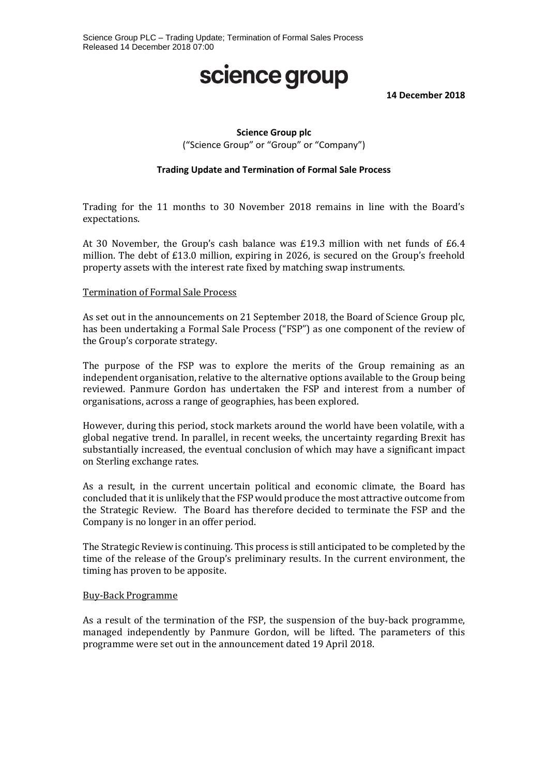## science group

**14 December 2018**

### **Science Group plc**

("Science Group" or "Group" or "Company")

#### **Trading Update and Termination of Formal Sale Process**

Trading for the 11 months to 30 November 2018 remains in line with the Board's expectations.

At 30 November, the Group's cash balance was £19.3 million with net funds of £6.4 million. The debt of £13.0 million, expiring in 2026, is secured on the Group's freehold property assets with the interest rate fixed by matching swap instruments.

#### Termination of Formal Sale Process

As set out in the announcements on 21 September 2018, the Board of Science Group plc, has been undertaking a Formal Sale Process ("FSP") as one component of the review of the Group's corporate strategy.

The purpose of the FSP was to explore the merits of the Group remaining as an independent organisation, relative to the alternative options available to the Group being reviewed. Panmure Gordon has undertaken the FSP and interest from a number of organisations, across a range of geographies, has been explored.

However, during this period, stock markets around the world have been volatile, with a global negative trend. In parallel, in recent weeks, the uncertainty regarding Brexit has substantially increased, the eventual conclusion of which may have a significant impact on Sterling exchange rates.

As a result, in the current uncertain political and economic climate, the Board has concluded that it is unlikely that the FSP would produce the most attractive outcome from the Strategic Review. The Board has therefore decided to terminate the FSP and the Company is no longer in an offer period.

The Strategic Review is continuing. This process is still anticipated to be completed by the time of the release of the Group's preliminary results. In the current environment, the timing has proven to be apposite.

#### Buy-Back Programme

As a result of the termination of the FSP, the suspension of the buy-back programme, managed independently by Panmure Gordon, will be lifted. The parameters of this programme were set out in the announcement dated 19 April 2018.